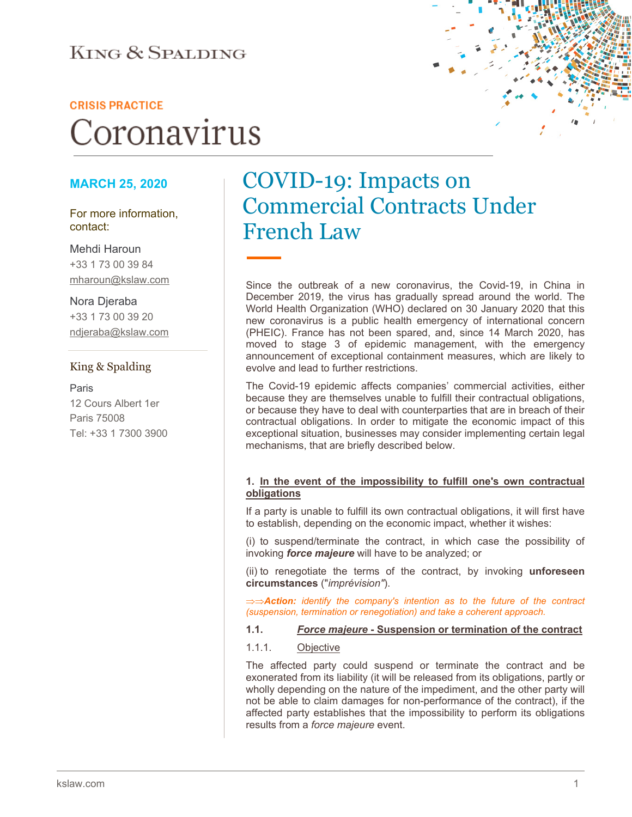### **KING & SPALDING**

#### **CRISIS PRACTICE**

# Coronavirus

#### **MARCH 25, 2020**

#### For more information, contact:

Mehdi Haroun +33 1 73 00 39 84 mharoun@kslaw.com

#### Nora Djeraba +33 1 73 00 39 20 ndjeraba@kslaw.com

#### King & Spalding

Paris 12 Cours Albert 1er Paris 75008 Tel: +33 1 7300 3900

## COVID-19: Impacts on Commercial Contracts Under French Law

Since the outbreak of a new coronavirus, the Covid-19, in China in December 2019, the virus has gradually spread around the world. The World Health Organization (WHO) declared on 30 January 2020 that this new coronavirus is a public health emergency of international concern (PHEIC). France has not been spared, and, since 14 March 2020, has moved to stage 3 of epidemic management, with the emergency announcement of exceptional containment measures, which are likely to evolve and lead to further restrictions.

The Covid-19 epidemic affects companies' commercial activities, either because they are themselves unable to fulfill their contractual obligations, or because they have to deal with counterparties that are in breach of their contractual obligations. In order to mitigate the economic impact of this exceptional situation, businesses may consider implementing certain legal mechanisms, that are briefly described below.

#### **1. In the event of the impossibility to fulfill one's own contractual obligations**

If a party is unable to fulfill its own contractual obligations, it will first have to establish, depending on the economic impact, whether it wishes:

(i) to suspend/terminate the contract, in which case the possibility of invoking *force majeure* will have to be analyzed; or

(ii) to renegotiate the terms of the contract, by invoking **unforeseen circumstances** ("*imprévision"*).

⇒⇒*Action: identify the company's intention as to the future of the contract (suspension, termination or renegotiation) and take a coherent approach.*

**1.1.** *Force majeure* **- Suspension or termination of the contract**

#### 1.1.1. Objective

The affected party could suspend or terminate the contract and be exonerated from its liability (it will be released from its obligations, partly or wholly depending on the nature of the impediment, and the other party will not be able to claim damages for non-performance of the contract), if the affected party establishes that the impossibility to perform its obligations results from a *force majeure* event.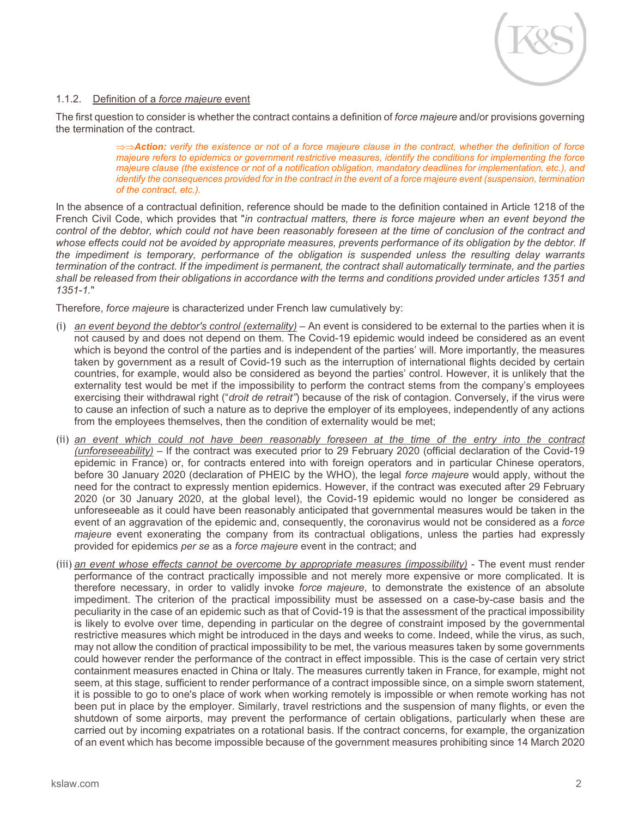

#### 1.1.2. Definition of a *force majeure* event

The first question to consider is whether the contract contains a definition of *force majeure* and/or provisions governing the termination of the contract.

> ⇒⇒*Action: verify the existence or not of a force majeure clause in the contract, whether the definition of force majeure refers to epidemics or government restrictive measures, identify the conditions for implementing the force majeure clause (the existence or not of a notification obligation, mandatory deadlines for implementation, etc.), and identify the consequences provided for in the contract in the event of a force majeure event (suspension, termination of the contract, etc.).*

In the absence of a contractual definition, reference should be made to the definition contained in Article 1218 of the French Civil Code, which provides that "*in contractual matters, there is force majeure when an event beyond the control of the debtor, which could not have been reasonably foreseen at the time of conclusion of the contract and whose effects could not be avoided by appropriate measures, prevents performance of its obligation by the debtor. If the impediment is temporary, performance of the obligation is suspended unless the resulting delay warrants termination of the contract. If the impediment is permanent, the contract shall automatically terminate, and the parties shall be released from their obligations in accordance with the terms and conditions provided under articles 1351 and 1351-1.*"

Therefore, *force majeure* is characterized under French law cumulatively by:

- (i) *an event beyond the debtor's control (externality)* An event is considered to be external to the parties when it is not caused by and does not depend on them. The Covid-19 epidemic would indeed be considered as an event which is beyond the control of the parties and is independent of the parties' will. More importantly, the measures taken by government as a result of Covid-19 such as the interruption of international flights decided by certain countries, for example, would also be considered as beyond the parties' control. However, it is unlikely that the externality test would be met if the impossibility to perform the contract stems from the company's employees exercising their withdrawal right ("*droit de retrait"*) because of the risk of contagion. Conversely, if the virus were to cause an infection of such a nature as to deprive the employer of its employees, independently of any actions from the employees themselves, then the condition of externality would be met;
- (ii) *an event which could not have been reasonably foreseen at the time of the entry into the contract (unforeseeability)* – If the contract was executed prior to 29 February 2020 (official declaration of the Covid-19 epidemic in France) or, for contracts entered into with foreign operators and in particular Chinese operators, before 30 January 2020 (declaration of PHEIC by the WHO), the legal *force majeure* would apply, without the need for the contract to expressly mention epidemics. However, if the contract was executed after 29 February 2020 (or 30 January 2020, at the global level), the Covid-19 epidemic would no longer be considered as unforeseeable as it could have been reasonably anticipated that governmental measures would be taken in the event of an aggravation of the epidemic and, consequently, the coronavirus would not be considered as a *force majeure* event exonerating the company from its contractual obligations, unless the parties had expressly provided for epidemics *per se* as a *force majeure* event in the contract; and
- (iii) *an event whose effects cannot be overcome by appropriate measures (impossibility)* The event must render performance of the contract practically impossible and not merely more expensive or more complicated. It is therefore necessary, in order to validly invoke *force majeure*, to demonstrate the existence of an absolute impediment. The criterion of the practical impossibility must be assessed on a case-by-case basis and the peculiarity in the case of an epidemic such as that of Covid-19 is that the assessment of the practical impossibility is likely to evolve over time, depending in particular on the degree of constraint imposed by the governmental restrictive measures which might be introduced in the days and weeks to come. Indeed, while the virus, as such, may not allow the condition of practical impossibility to be met, the various measures taken by some governments could however render the performance of the contract in effect impossible. This is the case of certain very strict containment measures enacted in China or Italy. The measures currently taken in France, for example, might not seem, at this stage, sufficient to render performance of a contract impossible since, on a simple sworn statement, it is possible to go to one's place of work when working remotely is impossible or when remote working has not been put in place by the employer. Similarly, travel restrictions and the suspension of many flights, or even the shutdown of some airports, may prevent the performance of certain obligations, particularly when these are carried out by incoming expatriates on a rotational basis. If the contract concerns, for example, the organization of an event which has become impossible because of the government measures prohibiting since 14 March 2020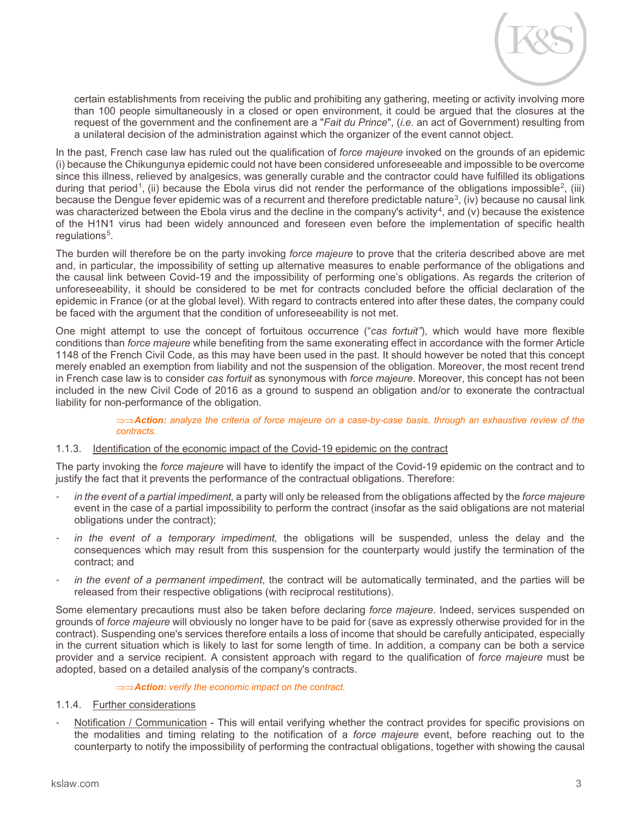

certain establishments from receiving the public and prohibiting any gathering, meeting or activity involving more than 100 people simultaneously in a closed or open environment, it could be argued that the closures at the request of the government and the confinement are a "*Fait du Prince*", (*i.e.* an act of Government) resulting from a unilateral decision of the administration against which the organizer of the event cannot object.

In the past, French case law has ruled out the qualification of *force majeure* invoked on the grounds of an epidemic (i) because the Chikungunya epidemic could not have been considered unforeseeable and impossible to be overcome since this illness, relieved by analgesics, was generally curable and the contractor could have fulfilled its obligations during that period<sup>1</sup>, (ii) because the Ebola virus did not render the performance of the obligations impossible<sup>2</sup>, (iii) because the Dengue fever epidemic was of a recurrent and therefore predictable nature<sup>[3](#page-4-2)</sup>, (iv) because no causal link was characterized between the Ebola virus and the decline in the company's activity<sup>[4](#page-4-3)</sup>, and (v) because the existence of the H1N1 virus had been widely announced and foreseen even before the implementation of specific health regulations<sup>[5](#page-4-4)</sup>.

The burden will therefore be on the party invoking *force majeure* to prove that the criteria described above are met and, in particular, the impossibility of setting up alternative measures to enable performance of the obligations and the causal link between Covid-19 and the impossibility of performing one's obligations. As regards the criterion of unforeseeability, it should be considered to be met for contracts concluded before the official declaration of the epidemic in France (or at the global level). With regard to contracts entered into after these dates, the company could be faced with the argument that the condition of unforeseeability is not met.

One might attempt to use the concept of fortuitous occurrence ("*cas fortuit"*), which would have more flexible conditions than *force majeure* while benefiting from the same exonerating effect in accordance with the former Article 1148 of the French Civil Code, as this may have been used in the past. It should however be noted that this concept merely enabled an exemption from liability and not the suspension of the obligation. Moreover, the most recent trend in French case law is to consider *cas fortuit* as synonymous with *force majeure*. Moreover, this concept has not been included in the new Civil Code of 2016 as a ground to suspend an obligation and/or to exonerate the contractual liability for non-performance of the obligation.

> ⇒⇒*Action: analyze the criteria of force majeure on a case-by-case basis, through an exhaustive review of the contracts.*

#### 1.1.3. Identification of the economic impact of the Covid-19 epidemic on the contract

The party invoking the *force majeure* will have to identify the impact of the Covid-19 epidemic on the contract and to justify the fact that it prevents the performance of the contractual obligations. Therefore:

- *in the event of a partial impediment,* a party will only be released from the obligations affected by the *force majeure* event in the case of a partial impossibility to perform the contract (insofar as the said obligations are not material obligations under the contract);
- in the event of a temporary impediment, the obligations will be suspended, unless the delay and the consequences which may result from this suspension for the counterparty would justify the termination of the contract; and
- in the event of a permanent impediment, the contract will be automatically terminated, and the parties will be released from their respective obligations (with reciprocal restitutions).

Some elementary precautions must also be taken before declaring *force majeure*. Indeed, services suspended on grounds of *force majeure* will obviously no longer have to be paid for (save as expressly otherwise provided for in the contract). Suspending one's services therefore entails a loss of income that should be carefully anticipated, especially in the current situation which is likely to last for some length of time. In addition, a company can be both a service provider and a service recipient. A consistent approach with regard to the qualification of *force majeure* must be adopted, based on a detailed analysis of the company's contracts.

#### ⇒⇒*Action: verify the economic impact on the contract.*

#### 1.1.4. Further considerations

Notification / Communication - This will entail verifying whether the contract provides for specific provisions on the modalities and timing relating to the notification of a *force majeure* event, before reaching out to the counterparty to notify the impossibility of performing the contractual obligations, together with showing the causal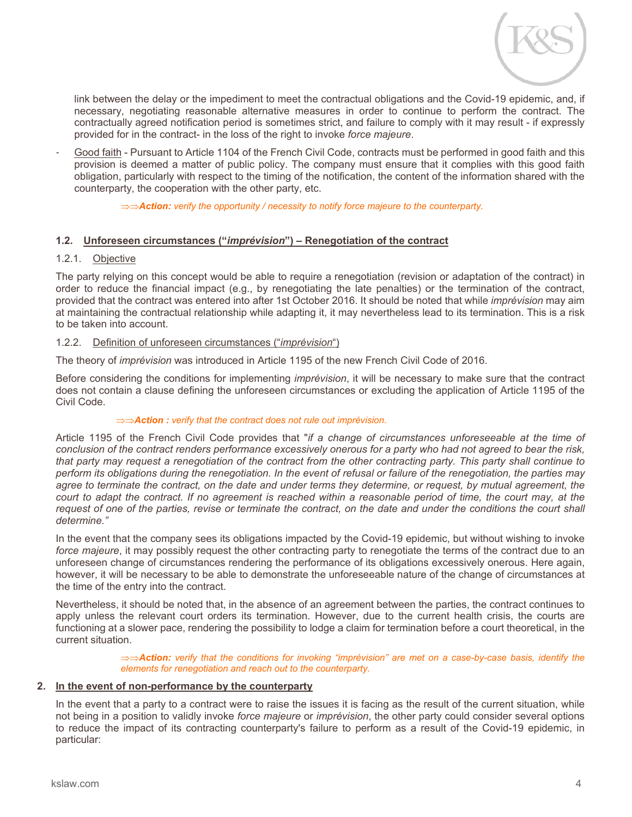

link between the delay or the impediment to meet the contractual obligations and the Covid-19 epidemic, and, if necessary, negotiating reasonable alternative measures in order to continue to perform the contract. The contractually agreed notification period is sometimes strict, and failure to comply with it may result - if expressly provided for in the contract- in the loss of the right to invoke *force majeure*.

Good faith - Pursuant to Article 1104 of the French Civil Code, contracts must be performed in good faith and this provision is deemed a matter of public policy. The company must ensure that it complies with this good faith obligation, particularly with respect to the timing of the notification, the content of the information shared with the counterparty, the cooperation with the other party, etc.

⇒⇒*Action: verify the opportunity / necessity to notify force majeure to the counterparty.*

#### **1.2. Unforeseen circumstances ("***imprévision***") – Renegotiation of the contract**

#### 1.2.1. Objective

The party relying on this concept would be able to require a renegotiation (revision or adaptation of the contract) in order to reduce the financial impact (e.g., by renegotiating the late penalties) or the termination of the contract, provided that the contract was entered into after 1st October 2016. It should be noted that while *imprévision* may aim at maintaining the contractual relationship while adapting it, it may nevertheless lead to its termination. This is a risk to be taken into account.

#### 1.2.2. Definition of unforeseen circumstances ("*imprévision*")

The theory of *imprévision* was introduced in Article 1195 of the new French Civil Code of 2016.

Before considering the conditions for implementing *imprévision*, it will be necessary to make sure that the contract does not contain a clause defining the unforeseen circumstances or excluding the application of Article 1195 of the Civil Code.

#### ⇒⇒*Action : verify that the contract does not rule out imprévision.*

Article 1195 of the French Civil Code provides that "*if a change of circumstances unforeseeable at the time of conclusion of the contract renders performance excessively onerous for a party who had not agreed to bear the risk, that party may request a renegotiation of the contract from the other contracting party. This party shall continue to perform its obligations during the renegotiation. In the event of refusal or failure of the renegotiation, the parties may agree to terminate the contract, on the date and under terms they determine, or request, by mutual agreement, the court to adapt the contract. If no agreement is reached within a reasonable period of time, the court may, at the*  request of one of the parties, revise or terminate the contract, on the date and under the conditions the court shall *determine."*

In the event that the company sees its obligations impacted by the Covid-19 epidemic, but without wishing to invoke *force majeure*, it may possibly request the other contracting party to renegotiate the terms of the contract due to an unforeseen change of circumstances rendering the performance of its obligations excessively onerous. Here again, however, it will be necessary to be able to demonstrate the unforeseeable nature of the change of circumstances at the time of the entry into the contract.

Nevertheless, it should be noted that, in the absence of an agreement between the parties, the contract continues to apply unless the relevant court orders its termination. However, due to the current health crisis, the courts are functioning at a slower pace, rendering the possibility to lodge a claim for termination before a court theoretical, in the current situation.

> ⇒⇒*Action: verify that the conditions for invoking "imprévision" are met on a case-by-case basis, identify the elements for renegotiation and reach out to the counterparty.*

#### **2. In the event of non-performance by the counterparty**

In the event that a party to a contract were to raise the issues it is facing as the result of the current situation, while not being in a position to validly invoke *force majeure* or *imprévision*, the other party could consider several options to reduce the impact of its contracting counterparty's failure to perform as a result of the Covid-19 epidemic, in particular: